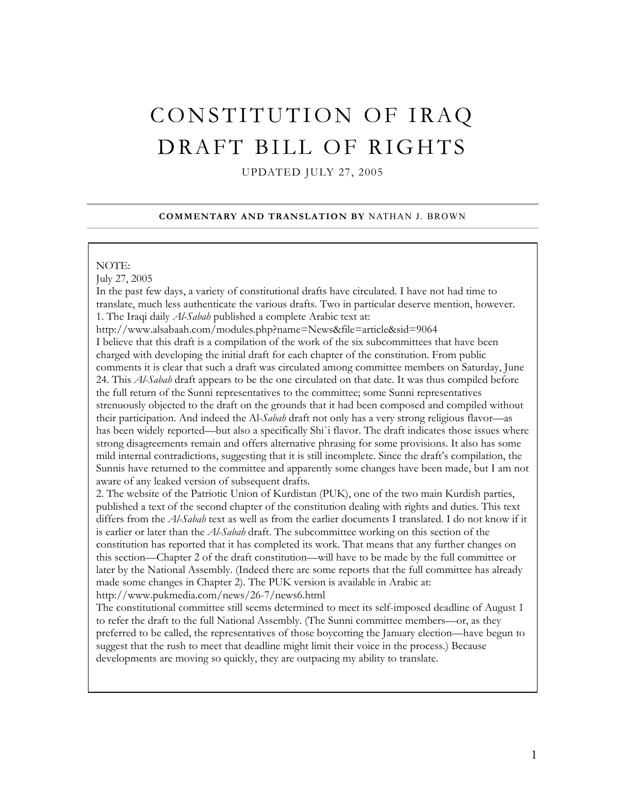# CONSTITUTION OF IRAQ DRAFT BILL OF RIGHTS

UPDATED JULY 27, 2005

#### **COMMENTARY AND TRANSLATION BY** NATHAN J. BROWN

#### NOTE:

July 27, 2005

In the past few days, a variety of constitutional drafts have circulated. I have not had time to translate, much less authenticate the various drafts. Two in particular deserve mention, however. 1. The Iraqi daily *Al-Sabah* published a complete Arabic text at:

http://www.alsabaah.com/modules.php?name=News&file=article&sid=9064 I believe that this draft is a compilation of the work of the six subcommittees that have been charged with developing the initial draft for each chapter of the constitution. From public comments it is clear that such a draft was circulated among committee members on Saturday, June 24. This *Al-Sabah* draft appears to be the one circulated on that date. It was thus compiled before the full return of the Sunni representatives to the committee; some Sunni representatives strenuously objected to the draft on the grounds that it had been composed and compiled without their participation. And indeed the Al*-Sabah* draft not only has a very strong religious flavor—as has been widely reported—but also a specifically Shi`i flavor. The draft indicates those issues where strong disagreements remain and offers alternative phrasing for some provisions. It also has some mild internal contradictions, suggesting that it is still incomplete. Since the draft's compilation, the Sunnis have returned to the committee and apparently some changes have been made, but I am not aware of any leaked version of subsequent drafts.

2. The website of the Patriotic Union of Kurdistan (PUK), one of the two main Kurdish parties, published a text of the second chapter of the constitution dealing with rights and duties. This text differs from the *Al-Sabah* text as well as from the earlier documents I translated. I do not know if it is earlier or later than the *Al-Sabah* draft. The subcommittee working on this section of the constitution has reported that it has completed its work. That means that any further changes on this section—Chapter 2 of the draft constitution—will have to be made by the full committee or later by the National Assembly. (Indeed there are some reports that the full committee has already made some changes in Chapter 2). The PUK version is available in Arabic at:

http://www.pukmedia.com/news/26-7/news6.html

The constitutional committee still seems determined to meet its self-imposed deadline of August 1 to refer the draft to the full National Assembly. (The Sunni committee members—or, as they preferred to be called, the representatives of those boycotting the January election—have begun to suggest that the rush to meet that deadline might limit their voice in the process.) Because developments are moving so quickly, they are outpacing my ability to translate.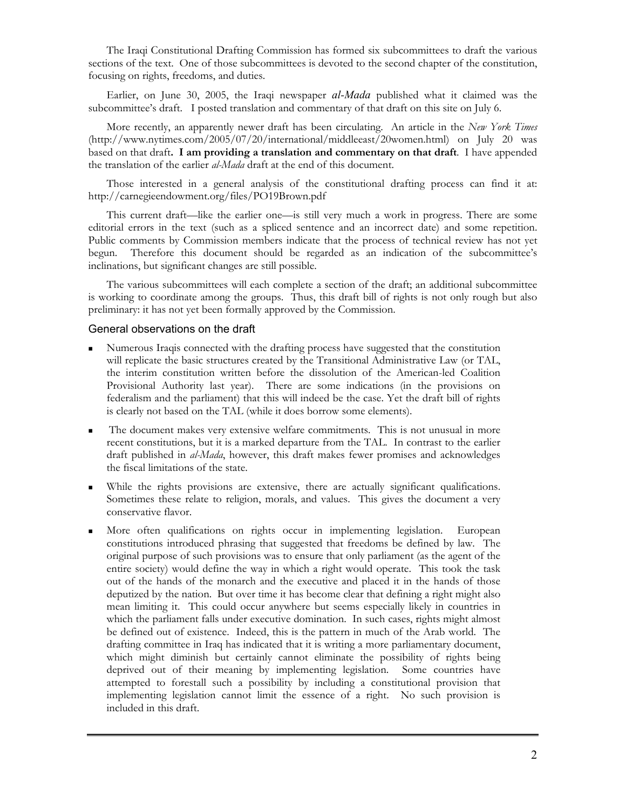The Iraqi Constitutional Drafting Commission has formed six subcommittees to draft the various sections of the text. One of those subcommittees is devoted to the second chapter of the constitution, focusing on rights, freedoms, and duties.

Earlier, on June 30, 2005, the Iraqi newspaper *al-Mada* published what it claimed was the subcommittee's draft. I posted translation and commentary of that draft on this site on July 6.

More recently, an apparently newer draft has been circulating. An article in the *New York Times* (http://www.nytimes.com/2005/07/20/international/middleeast/20women.html) on July 20 was based on that draft**. I am providing a translation and commentary on that draft**. I have appended the translation of the earlier *al-Mada* draft at the end of this document.

Those interested in a general analysis of the constitutional drafting process can find it at: http://carnegieendowment.org/files/PO19Brown.pdf

This current draft—like the earlier one—is still very much a work in progress. There are some editorial errors in the text (such as a spliced sentence and an incorrect date) and some repetition. Public comments by Commission members indicate that the process of technical review has not yet begun. Therefore this document should be regarded as an indication of the subcommittee's inclinations, but significant changes are still possible.

The various subcommittees will each complete a section of the draft; an additional subcommittee is working to coordinate among the groups. Thus, this draft bill of rights is not only rough but also preliminary: it has not yet been formally approved by the Commission.

#### General observations on the draft

- Numerous Iraqis connected with the drafting process have suggested that the constitution will replicate the basic structures created by the Transitional Administrative Law (or TAL, the interim constitution written before the dissolution of the American-led Coalition Provisional Authority last year). There are some indications (in the provisions on federalism and the parliament) that this will indeed be the case. Yet the draft bill of rights is clearly not based on the TAL (while it does borrow some elements).
- The document makes very extensive welfare commitments. This is not unusual in more recent constitutions, but it is a marked departure from the TAL. In contrast to the earlier draft published in *al-Mada*, however, this draft makes fewer promises and acknowledges the fiscal limitations of the state.
- While the rights provisions are extensive, there are actually significant qualifications. Sometimes these relate to religion, morals, and values. This gives the document a very conservative flavor.
- More often qualifications on rights occur in implementing legislation. European constitutions introduced phrasing that suggested that freedoms be defined by law. The original purpose of such provisions was to ensure that only parliament (as the agent of the entire society) would define the way in which a right would operate. This took the task out of the hands of the monarch and the executive and placed it in the hands of those deputized by the nation. But over time it has become clear that defining a right might also mean limiting it. This could occur anywhere but seems especially likely in countries in which the parliament falls under executive domination. In such cases, rights might almost be defined out of existence. Indeed, this is the pattern in much of the Arab world. The drafting committee in Iraq has indicated that it is writing a more parliamentary document, which might diminish but certainly cannot eliminate the possibility of rights being deprived out of their meaning by implementing legislation. Some countries have attempted to forestall such a possibility by including a constitutional provision that implementing legislation cannot limit the essence of a right. No such provision is included in this draft.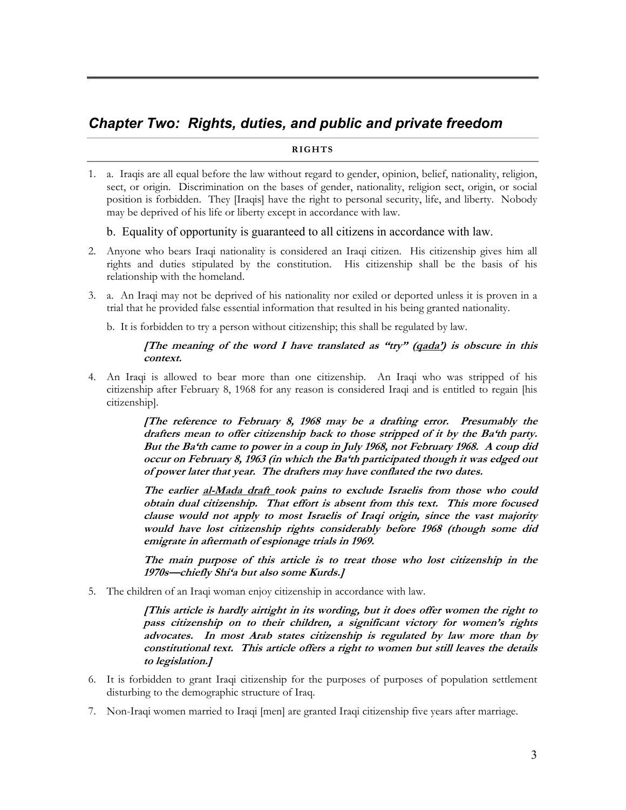# *Chapter Two: Rights, duties, and public and private freedom*

#### **RIGHTS**

1. a. Iraqis are all equal before the law without regard to gender, opinion, belief, nationality, religion, sect, or origin. Discrimination on the bases of gender, nationality, religion sect, origin, or social position is forbidden. They [Iraqis] have the right to personal security, life, and liberty. Nobody may be deprived of his life or liberty except in accordance with law.

# b. Equality of opportunity is guaranteed to all citizens in accordance with law.

- 2. Anyone who bears Iraqi nationality is considered an Iraqi citizen. His citizenship gives him all rights and duties stipulated by the constitution. His citizenship shall be the basis of his relationship with the homeland.
- 3. a. An Iraqi may not be deprived of his nationality nor exiled or deported unless it is proven in a trial that he provided false essential information that resulted in his being granted nationality.

b. It is forbidden to try a person without citizenship; this shall be regulated by law.

#### **[The meaning of the word I have translated as "try" (qada') is obscure in this context.**

4. An Iraqi is allowed to bear more than one citizenship. An Iraqi who was stripped of his citizenship after February 8, 1968 for any reason is considered Iraqi and is entitled to regain [his citizenship].

> **[The reference to February 8, 1968 may be a drafting error. Presumably the drafters mean to offer citizenship back to those stripped of it by the Ba'th party. But the Ba'th came to power in a coup in July 1968, not February 1968. A coup did occur on February 8, 1963 (in which the Ba'th participated though it was edged out of power later that year. The drafters may have conflated the two dates.**

> **The earlier al-Mada draft took pains to exclude Israelis from those who could obtain dual citizenship. That effort is absent from this text. This more focused clause would not apply to most Israelis of Iraqi origin, since the vast majority would have lost citizenship rights considerably before 1968 (though some did emigrate in aftermath of espionage trials in 1969.**

> **The main purpose of this article is to treat those who lost citizenship in the 1970s—chiefly Shi'a but also some Kurds.]**

5. The children of an Iraqi woman enjoy citizenship in accordance with law.

**[This article is hardly airtight in its wording, but it does offer women the right to pass citizenship on to their children, a significant victory for women's rights advocates. In most Arab states citizenship is regulated by law more than by constitutional text. This article offers a right to women but still leaves the details to legislation.]**

- 6. It is forbidden to grant Iraqi citizenship for the purposes of purposes of population settlement disturbing to the demographic structure of Iraq.
- 7. Non-Iraqi women married to Iraqi [men] are granted Iraqi citizenship five years after marriage.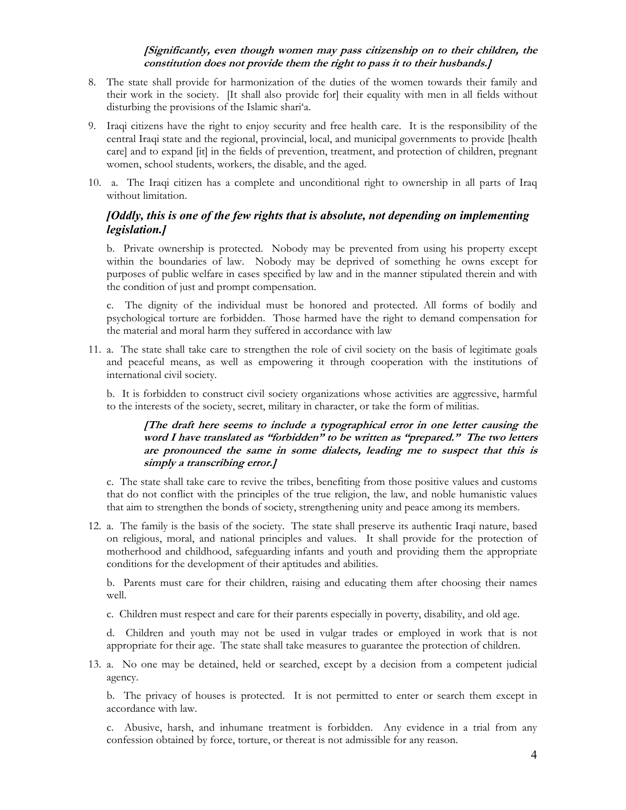# **[Significantly, even though women may pass citizenship on to their children, the constitution does not provide them the right to pass it to their husbands.]**

- 8. The state shall provide for harmonization of the duties of the women towards their family and their work in the society. [It shall also provide for] their equality with men in all fields without disturbing the provisions of the Islamic shari'a.
- 9. Iraqi citizens have the right to enjoy security and free health care. It is the responsibility of the central Iraqi state and the regional, provincial, local, and municipal governments to provide [health care] and to expand [it] in the fields of prevention, treatment, and protection of children, pregnant women, school students, workers, the disable, and the aged.
- 10. a. The Iraqi citizen has a complete and unconditional right to ownership in all parts of Iraq without limitation.

# *[Oddly, this is one of the few rights that is absolute, not depending on implementing legislation.]*

b. Private ownership is protected. Nobody may be prevented from using his property except within the boundaries of law. Nobody may be deprived of something he owns except for purposes of public welfare in cases specified by law and in the manner stipulated therein and with the condition of just and prompt compensation.

c. The dignity of the individual must be honored and protected. All forms of bodily and psychological torture are forbidden. Those harmed have the right to demand compensation for the material and moral harm they suffered in accordance with law

11. a. The state shall take care to strengthen the role of civil society on the basis of legitimate goals and peaceful means, as well as empowering it through cooperation with the institutions of international civil society.

b. It is forbidden to construct civil society organizations whose activities are aggressive, harmful to the interests of the society, secret, military in character, or take the form of militias.

# **[The draft here seems to include a typographical error in one letter causing the word I have translated as "forbidden" to be written as "prepared." The two letters are pronounced the same in some dialects, leading me to suspect that this is simply a transcribing error.]**

c. The state shall take care to revive the tribes, benefiting from those positive values and customs that do not conflict with the principles of the true religion, the law, and noble humanistic values that aim to strengthen the bonds of society, strengthening unity and peace among its members.

12. a. The family is the basis of the society. The state shall preserve its authentic Iraqi nature, based on religious, moral, and national principles and values. It shall provide for the protection of motherhood and childhood, safeguarding infants and youth and providing them the appropriate conditions for the development of their aptitudes and abilities.

b. Parents must care for their children, raising and educating them after choosing their names well.

c. Children must respect and care for their parents especially in poverty, disability, and old age.

d. Children and youth may not be used in vulgar trades or employed in work that is not appropriate for their age. The state shall take measures to guarantee the protection of children.

13. a. No one may be detained, held or searched, except by a decision from a competent judicial agency.

b. The privacy of houses is protected. It is not permitted to enter or search them except in accordance with law.

c. Abusive, harsh, and inhumane treatment is forbidden. Any evidence in a trial from any confession obtained by force, torture, or thereat is not admissible for any reason.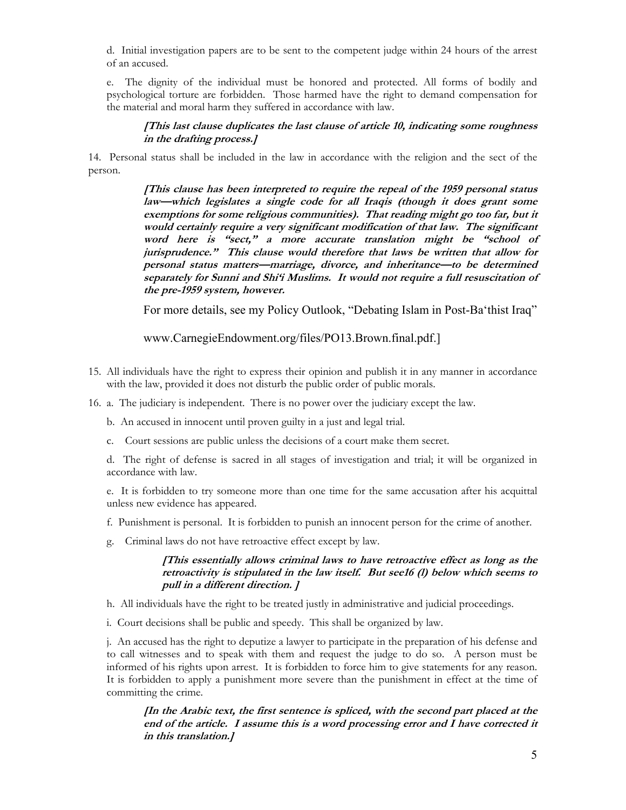d. Initial investigation papers are to be sent to the competent judge within 24 hours of the arrest of an accused.

e. The dignity of the individual must be honored and protected. All forms of bodily and psychological torture are forbidden. Those harmed have the right to demand compensation for the material and moral harm they suffered in accordance with law.

#### **[This last clause duplicates the last clause of article 10, indicating some roughness in the drafting process.]**

14. Personal status shall be included in the law in accordance with the religion and the sect of the person.

> **[This clause has been interpreted to require the repeal of the 1959 personal status law—which legislates a single code for all Iraqis (though it does grant some exemptions for some religious communities). That reading might go too far, but it would certainly require a very significant modification of that law. The significant word here is "sect," a more accurate translation might be "school of jurisprudence." This clause would therefore that laws be written that allow for personal status matters—marriage, divorce, and inheritance—to be determined separately for Sunni and Shi'i Muslims. It would not require a full resuscitation of the pre-1959 system, however.**

> For more details, see my Policy Outlook, "Debating Islam in Post-Ba'thist Iraq"

www.CarnegieEndowment.org/files/PO13.Brown.final.pdf.]

- 15. All individuals have the right to express their opinion and publish it in any manner in accordance with the law, provided it does not disturb the public order of public morals.
- 16. a. The judiciary is independent. There is no power over the judiciary except the law.

b. An accused in innocent until proven guilty in a just and legal trial.

c. Court sessions are public unless the decisions of a court make them secret.

d. The right of defense is sacred in all stages of investigation and trial; it will be organized in accordance with law.

e. It is forbidden to try someone more than one time for the same accusation after his acquittal unless new evidence has appeared.

- f. Punishment is personal. It is forbidden to punish an innocent person for the crime of another.
- g. Criminal laws do not have retroactive effect except by law.

#### **[This essentially allows criminal laws to have retroactive effect as long as the retroactivity is stipulated in the law itself. But see16 (l) below which seems to pull in a different direction. ]**

- h. All individuals have the right to be treated justly in administrative and judicial proceedings.
- i. Court decisions shall be public and speedy. This shall be organized by law.

j. An accused has the right to deputize a lawyer to participate in the preparation of his defense and to call witnesses and to speak with them and request the judge to do so. A person must be informed of his rights upon arrest. It is forbidden to force him to give statements for any reason. It is forbidden to apply a punishment more severe than the punishment in effect at the time of committing the crime.

#### **[In the Arabic text, the first sentence is spliced, with the second part placed at the end of the article. I assume this is a word processing error and I have corrected it in this translation.]**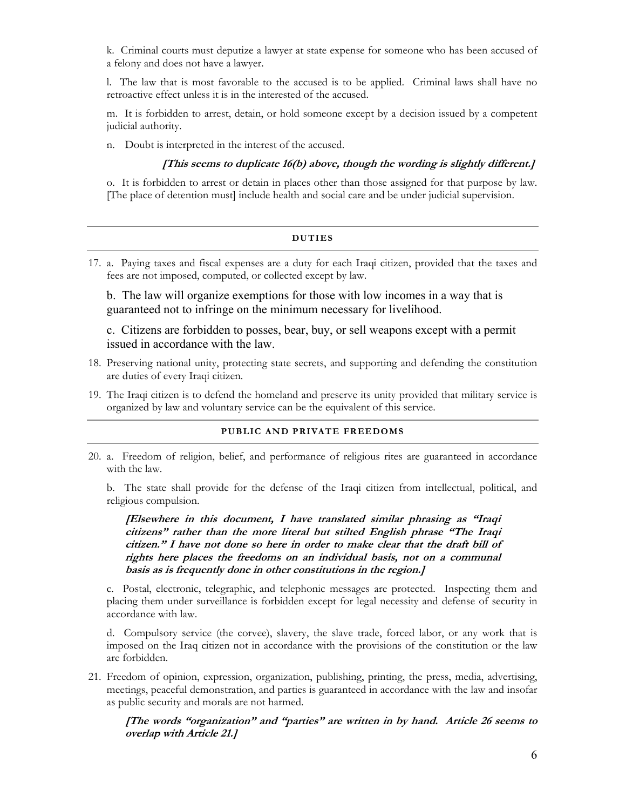k. Criminal courts must deputize a lawyer at state expense for someone who has been accused of a felony and does not have a lawyer.

l. The law that is most favorable to the accused is to be applied. Criminal laws shall have no retroactive effect unless it is in the interested of the accused.

m. It is forbidden to arrest, detain, or hold someone except by a decision issued by a competent judicial authority.

n. Doubt is interpreted in the interest of the accused.

#### **[This seems to duplicate 16(b) above, though the wording is slightly different.]**

o. It is forbidden to arrest or detain in places other than those assigned for that purpose by law. [The place of detention must] include health and social care and be under judicial supervision.

| <b>DUTIES</b> |  |
|---------------|--|
|               |  |

17. a. Paying taxes and fiscal expenses are a duty for each Iraqi citizen, provided that the taxes and fees are not imposed, computed, or collected except by law.

b. The law will organize exemptions for those with low incomes in a way that is guaranteed not to infringe on the minimum necessary for livelihood.

c. Citizens are forbidden to posses, bear, buy, or sell weapons except with a permit issued in accordance with the law.

- 18. Preserving national unity, protecting state secrets, and supporting and defending the constitution are duties of every Iraqi citizen.
- 19. The Iraqi citizen is to defend the homeland and preserve its unity provided that military service is organized by law and voluntary service can be the equivalent of this service.

#### **PUBLIC AND PRIVATE FREEDOMS**

20. a. Freedom of religion, belief, and performance of religious rites are guaranteed in accordance with the law.

b. The state shall provide for the defense of the Iraqi citizen from intellectual, political, and religious compulsion.

**[Elsewhere in this document, I have translated similar phrasing as "Iraqi citizens" rather than the more literal but stilted English phrase "The Iraqi citizen." I have not done so here in order to make clear that the draft bill of rights here places the freedoms on an individual basis, not on a communal basis as is frequently done in other constitutions in the region.]**

c. Postal, electronic, telegraphic, and telephonic messages are protected. Inspecting them and placing them under surveillance is forbidden except for legal necessity and defense of security in accordance with law.

d. Compulsory service (the corvee), slavery, the slave trade, forced labor, or any work that is imposed on the Iraq citizen not in accordance with the provisions of the constitution or the law are forbidden.

21. Freedom of opinion, expression, organization, publishing, printing, the press, media, advertising, meetings, peaceful demonstration, and parties is guaranteed in accordance with the law and insofar as public security and morals are not harmed.

**[The words "organization" and "parties" are written in by hand. Article 26 seems to overlap with Article 21.]**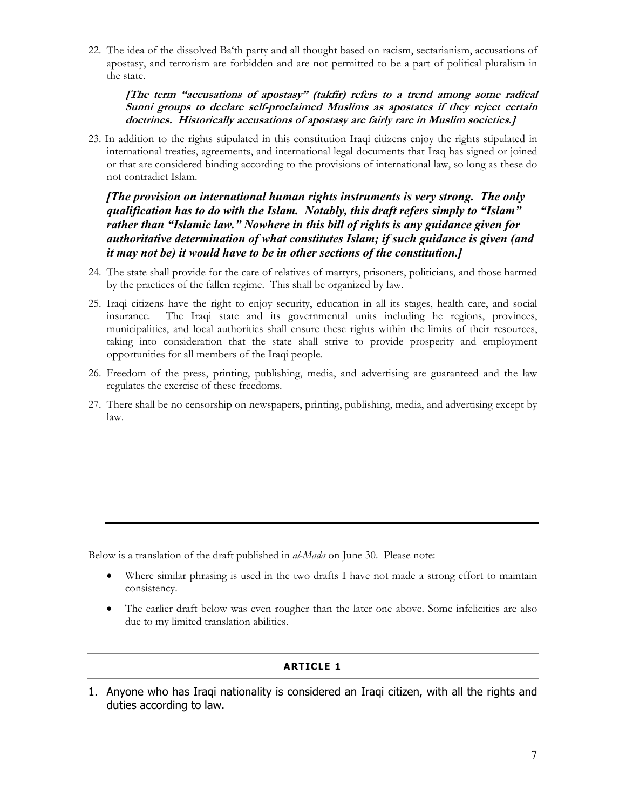22. The idea of the dissolved Ba'th party and all thought based on racism, sectarianism, accusations of apostasy, and terrorism are forbidden and are not permitted to be a part of political pluralism in the state.

**[The term "accusations of apostasy" (takfir) refers to a trend among some radical Sunni groups to declare self-proclaimed Muslims as apostates if they reject certain doctrines. Historically accusations of apostasy are fairly rare in Muslim societies.]**

23. In addition to the rights stipulated in this constitution Iraqi citizens enjoy the rights stipulated in international treaties, agreements, and international legal documents that Iraq has signed or joined or that are considered binding according to the provisions of international law, so long as these do not contradict Islam.

*[The provision on international human rights instruments is very strong. The only qualification has to do with the Islam. Notably, this draft refers simply to "Islam" rather than "Islamic law." Nowhere in this bill of rights is any guidance given for authoritative determination of what constitutes Islam; if such guidance is given (and it may not be) it would have to be in other sections of the constitution.]*

- 24. The state shall provide for the care of relatives of martyrs, prisoners, politicians, and those harmed by the practices of the fallen regime. This shall be organized by law.
- 25. Iraqi citizens have the right to enjoy security, education in all its stages, health care, and social insurance. The Iraqi state and its governmental units including he regions, provinces, municipalities, and local authorities shall ensure these rights within the limits of their resources, taking into consideration that the state shall strive to provide prosperity and employment opportunities for all members of the Iraqi people.
- 26. Freedom of the press, printing, publishing, media, and advertising are guaranteed and the law regulates the exercise of these freedoms.
- 27. There shall be no censorship on newspapers, printing, publishing, media, and advertising except by law.

Below is a translation of the draft published in *al-Mada* on June 30. Please note:

- Where similar phrasing is used in the two drafts I have not made a strong effort to maintain consistency.
- The earlier draft below was even rougher than the later one above. Some infelicities are also due to my limited translation abilities.

# **ARTICLE 1**

1. Anyone who has Iraqi nationality is considered an Iraqi citizen, with all the rights and duties according to law.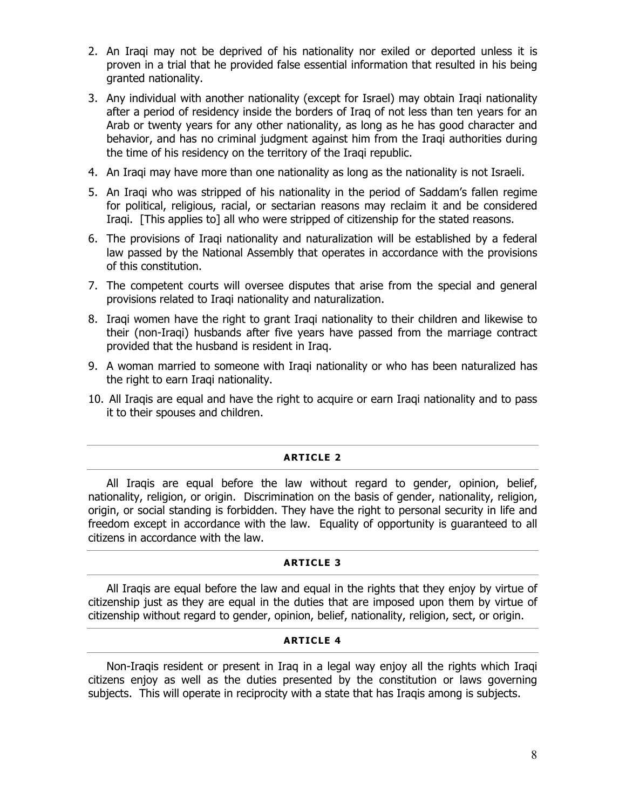- 2. An Iraqi may not be deprived of his nationality nor exiled or deported unless it is proven in a trial that he provided false essential information that resulted in his being granted nationality.
- 3. Any individual with another nationality (except for Israel) may obtain Iraqi nationality after a period of residency inside the borders of Iraq of not less than ten years for an Arab or twenty years for any other nationality, as long as he has good character and behavior, and has no criminal judgment against him from the Iraqi authorities during the time of his residency on the territory of the Iraqi republic.
- 4. An Iraqi may have more than one nationality as long as the nationality is not Israeli.
- 5. An Iraqi who was stripped of his nationality in the period of Saddam's fallen regime for political, religious, racial, or sectarian reasons may reclaim it and be considered Iraqi. [This applies to] all who were stripped of citizenship for the stated reasons.
- 6. The provisions of Iraqi nationality and naturalization will be established by a federal law passed by the National Assembly that operates in accordance with the provisions of this constitution.
- 7. The competent courts will oversee disputes that arise from the special and general provisions related to Iraqi nationality and naturalization.
- 8. Iraqi women have the right to grant Iraqi nationality to their children and likewise to their (non-Iraqi) husbands after five years have passed from the marriage contract provided that the husband is resident in Iraq.
- 9. A woman married to someone with Iraqi nationality or who has been naturalized has the right to earn Iraqi nationality.
- 10. All Iraqis are equal and have the right to acquire or earn Iraqi nationality and to pass it to their spouses and children.

# **ARTICLE 2**

All Iraqis are equal before the law without regard to gender, opinion, belief, nationality, religion, or origin. Discrimination on the basis of gender, nationality, religion, origin, or social standing is forbidden. They have the right to personal security in life and freedom except in accordance with the law. Equality of opportunity is guaranteed to all citizens in accordance with the law.

#### **ARTICLE 3**

All Iraqis are equal before the law and equal in the rights that they enjoy by virtue of citizenship just as they are equal in the duties that are imposed upon them by virtue of citizenship without regard to gender, opinion, belief, nationality, religion, sect, or origin.

## **ARTICLE 4**

Non-Iraqis resident or present in Iraq in a legal way enjoy all the rights which Iraqi citizens enjoy as well as the duties presented by the constitution or laws governing subjects. This will operate in reciprocity with a state that has Iraqis among is subjects.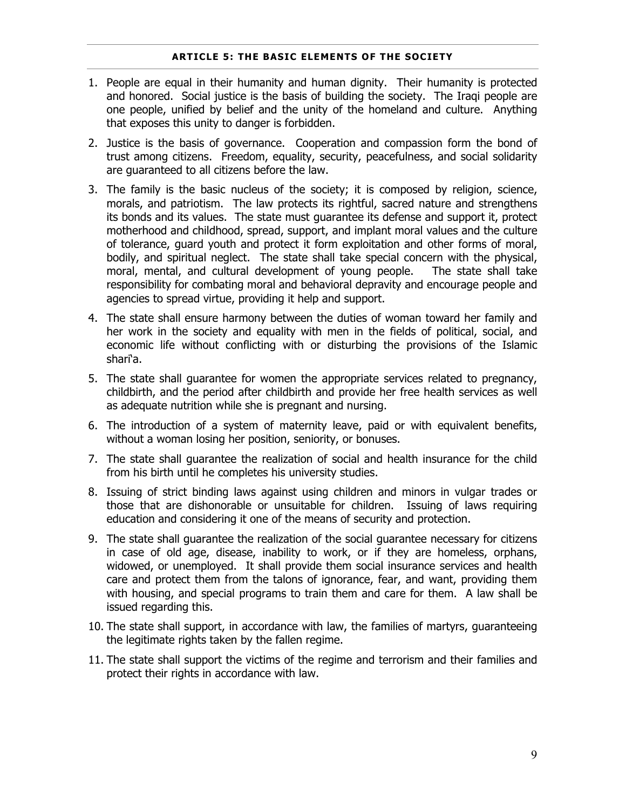#### **ARTICLE 5: THE BASIC ELEMENTS OF THE SOCIETY**

- 1. People are equal in their humanity and human dignity. Their humanity is protected and honored. Social justice is the basis of building the society. The Iraqi people are one people, unified by belief and the unity of the homeland and culture. Anything that exposes this unity to danger is forbidden.
- 2. Justice is the basis of governance. Cooperation and compassion form the bond of trust among citizens. Freedom, equality, security, peacefulness, and social solidarity are guaranteed to all citizens before the law.
- 3. The family is the basic nucleus of the society; it is composed by religion, science, morals, and patriotism. The law protects its rightful, sacred nature and strengthens its bonds and its values. The state must guarantee its defense and support it, protect motherhood and childhood, spread, support, and implant moral values and the culture of tolerance, guard youth and protect it form exploitation and other forms of moral, bodily, and spiritual neglect. The state shall take special concern with the physical, moral, mental, and cultural development of young people. The state shall take responsibility for combating moral and behavioral depravity and encourage people and agencies to spread virtue, providing it help and support.
- 4. The state shall ensure harmony between the duties of woman toward her family and her work in the society and equality with men in the fields of political, social, and economic life without conflicting with or disturbing the provisions of the Islamic shari'a.
- 5. The state shall guarantee for women the appropriate services related to pregnancy, childbirth, and the period after childbirth and provide her free health services as well as adequate nutrition while she is pregnant and nursing.
- 6. The introduction of a system of maternity leave, paid or with equivalent benefits, without a woman losing her position, seniority, or bonuses.
- 7. The state shall guarantee the realization of social and health insurance for the child from his birth until he completes his university studies.
- 8. Issuing of strict binding laws against using children and minors in vulgar trades or those that are dishonorable or unsuitable for children. Issuing of laws requiring education and considering it one of the means of security and protection.
- 9. The state shall guarantee the realization of the social guarantee necessary for citizens in case of old age, disease, inability to work, or if they are homeless, orphans, widowed, or unemployed. It shall provide them social insurance services and health care and protect them from the talons of ignorance, fear, and want, providing them with housing, and special programs to train them and care for them. A law shall be issued regarding this.
- 10. The state shall support, in accordance with law, the families of martyrs, guaranteeing the legitimate rights taken by the fallen regime.
- 11. The state shall support the victims of the regime and terrorism and their families and protect their rights in accordance with law.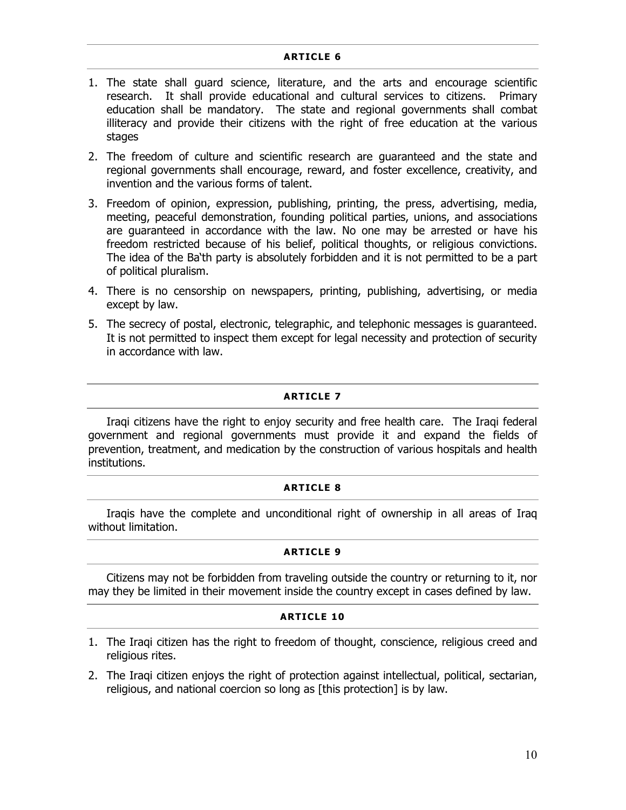#### **ARTICLE 6**

- 1. The state shall guard science, literature, and the arts and encourage scientific research. It shall provide educational and cultural services to citizens. Primary education shall be mandatory. The state and regional governments shall combat illiteracy and provide their citizens with the right of free education at the various stages
- 2. The freedom of culture and scientific research are guaranteed and the state and regional governments shall encourage, reward, and foster excellence, creativity, and invention and the various forms of talent.
- 3. Freedom of opinion, expression, publishing, printing, the press, advertising, media, meeting, peaceful demonstration, founding political parties, unions, and associations are guaranteed in accordance with the law. No one may be arrested or have his freedom restricted because of his belief, political thoughts, or religious convictions. The idea of the Ba'th party is absolutely forbidden and it is not permitted to be a part of political pluralism.
- 4. There is no censorship on newspapers, printing, publishing, advertising, or media except by law.
- 5. The secrecy of postal, electronic, telegraphic, and telephonic messages is guaranteed. It is not permitted to inspect them except for legal necessity and protection of security in accordance with law.

# **ARTICLE 7**

Iraqi citizens have the right to enjoy security and free health care. The Iraqi federal government and regional governments must provide it and expand the fields of prevention, treatment, and medication by the construction of various hospitals and health institutions.

# **ARTICLE 8**

Iraqis have the complete and unconditional right of ownership in all areas of Iraq without limitation.

# **ARTICLE 9**

Citizens may not be forbidden from traveling outside the country or returning to it, nor may they be limited in their movement inside the country except in cases defined by law.

# **ARTICLE 10**

- 1. The Iraqi citizen has the right to freedom of thought, conscience, religious creed and religious rites.
- 2. The Iraqi citizen enjoys the right of protection against intellectual, political, sectarian, religious, and national coercion so long as [this protection] is by law.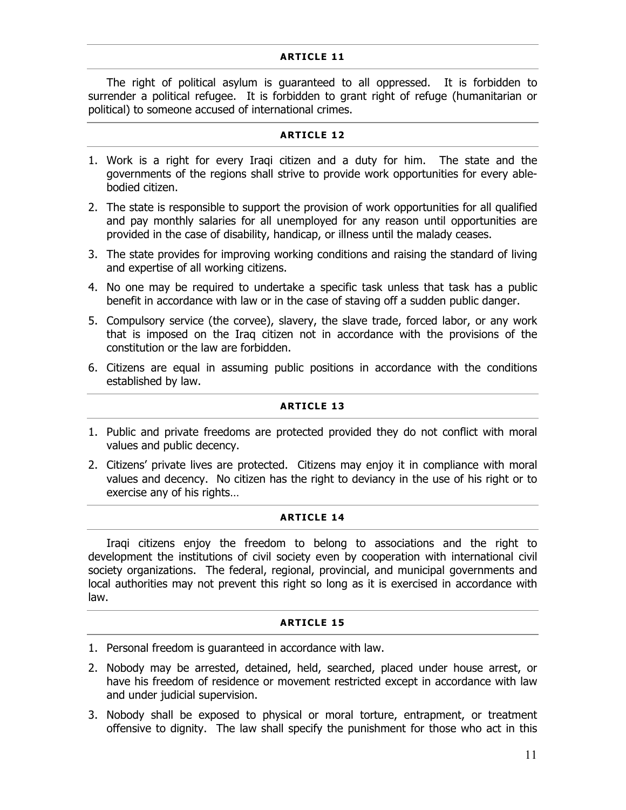# **ARTICLE 11**

The right of political asylum is guaranteed to all oppressed. It is forbidden to surrender a political refugee. It is forbidden to grant right of refuge (humanitarian or political) to someone accused of international crimes.

#### **ARTICLE 12**

- 1. Work is a right for every Iraqi citizen and a duty for him. The state and the governments of the regions shall strive to provide work opportunities for every ablebodied citizen.
- 2. The state is responsible to support the provision of work opportunities for all qualified and pay monthly salaries for all unemployed for any reason until opportunities are provided in the case of disability, handicap, or illness until the malady ceases.
- 3. The state provides for improving working conditions and raising the standard of living and expertise of all working citizens.
- 4. No one may be required to undertake a specific task unless that task has a public benefit in accordance with law or in the case of staving off a sudden public danger.
- 5. Compulsory service (the corvee), slavery, the slave trade, forced labor, or any work that is imposed on the Iraq citizen not in accordance with the provisions of the constitution or the law are forbidden.
- 6. Citizens are equal in assuming public positions in accordance with the conditions established by law.

# **ARTICLE 13**

- 1. Public and private freedoms are protected provided they do not conflict with moral values and public decency.
- 2. Citizens' private lives are protected. Citizens may enjoy it in compliance with moral values and decency. No citizen has the right to deviancy in the use of his right or to exercise any of his rights…

# **ARTICLE 14**

Iraqi citizens enjoy the freedom to belong to associations and the right to development the institutions of civil society even by cooperation with international civil society organizations. The federal, regional, provincial, and municipal governments and local authorities may not prevent this right so long as it is exercised in accordance with law.

# **ARTICLE 15**

- 1. Personal freedom is guaranteed in accordance with law.
- 2. Nobody may be arrested, detained, held, searched, placed under house arrest, or have his freedom of residence or movement restricted except in accordance with law and under judicial supervision.
- 3. Nobody shall be exposed to physical or moral torture, entrapment, or treatment offensive to dignity. The law shall specify the punishment for those who act in this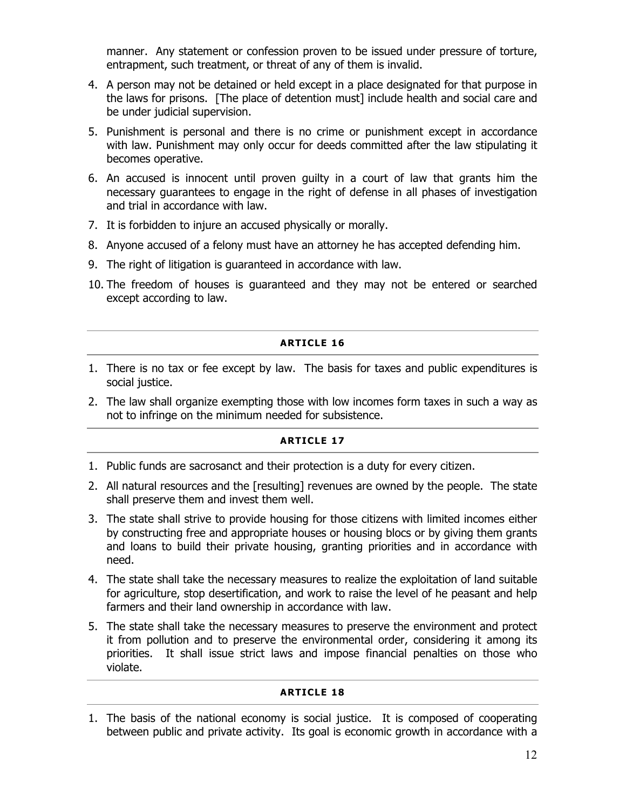manner. Any statement or confession proven to be issued under pressure of torture, entrapment, such treatment, or threat of any of them is invalid.

- 4. A person may not be detained or held except in a place designated for that purpose in the laws for prisons. [The place of detention must] include health and social care and be under judicial supervision.
- 5. Punishment is personal and there is no crime or punishment except in accordance with law. Punishment may only occur for deeds committed after the law stipulating it becomes operative.
- 6. An accused is innocent until proven guilty in a court of law that grants him the necessary guarantees to engage in the right of defense in all phases of investigation and trial in accordance with law.
- 7. It is forbidden to injure an accused physically or morally.
- 8. Anyone accused of a felony must have an attorney he has accepted defending him.
- 9. The right of litigation is guaranteed in accordance with law.
- 10. The freedom of houses is guaranteed and they may not be entered or searched except according to law.

# **ARTICLE 16**

- 1. There is no tax or fee except by law. The basis for taxes and public expenditures is social justice.
- 2. The law shall organize exempting those with low incomes form taxes in such a way as not to infringe on the minimum needed for subsistence.

# **ARTICLE 17**

- 1. Public funds are sacrosanct and their protection is a duty for every citizen.
- 2. All natural resources and the [resulting] revenues are owned by the people. The state shall preserve them and invest them well.
- 3. The state shall strive to provide housing for those citizens with limited incomes either by constructing free and appropriate houses or housing blocs or by giving them grants and loans to build their private housing, granting priorities and in accordance with need.
- 4. The state shall take the necessary measures to realize the exploitation of land suitable for agriculture, stop desertification, and work to raise the level of he peasant and help farmers and their land ownership in accordance with law.
- 5. The state shall take the necessary measures to preserve the environment and protect it from pollution and to preserve the environmental order, considering it among its priorities. It shall issue strict laws and impose financial penalties on those who violate.

# **ARTICLE 18**

1. The basis of the national economy is social justice. It is composed of cooperating between public and private activity. Its goal is economic growth in accordance with a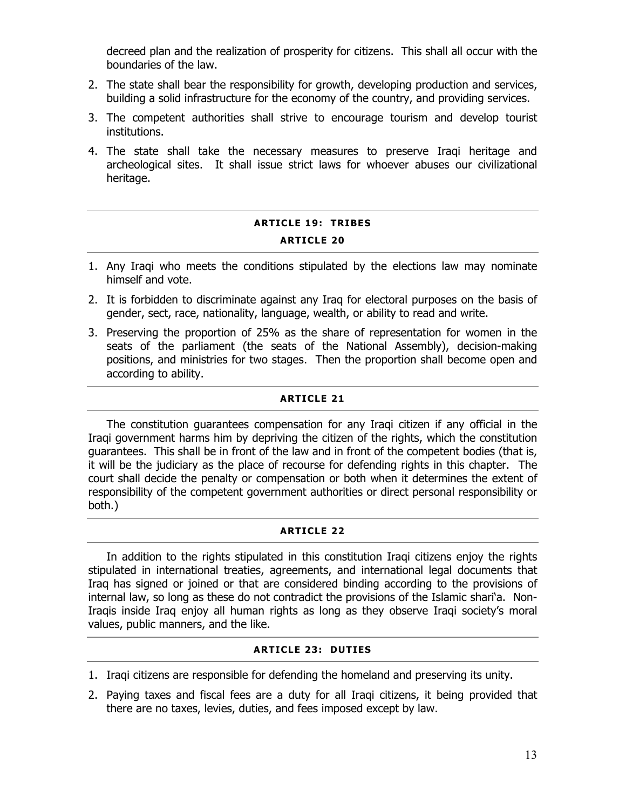decreed plan and the realization of prosperity for citizens. This shall all occur with the boundaries of the law.

- 2. The state shall bear the responsibility for growth, developing production and services, building a solid infrastructure for the economy of the country, and providing services.
- 3. The competent authorities shall strive to encourage tourism and develop tourist institutions.
- 4. The state shall take the necessary measures to preserve Iraqi heritage and archeological sites. It shall issue strict laws for whoever abuses our civilizational heritage.

# **ARTICLE 19: TRIBES ARTICLE 20**

- 1. Any Iraqi who meets the conditions stipulated by the elections law may nominate himself and vote.
- 2. It is forbidden to discriminate against any Iraq for electoral purposes on the basis of gender, sect, race, nationality, language, wealth, or ability to read and write.
- 3. Preserving the proportion of 25% as the share of representation for women in the seats of the parliament (the seats of the National Assembly), decision-making positions, and ministries for two stages. Then the proportion shall become open and according to ability.

# **ARTICLE 21**

The constitution guarantees compensation for any Iraqi citizen if any official in the Iraqi government harms him by depriving the citizen of the rights, which the constitution guarantees. This shall be in front of the law and in front of the competent bodies (that is, it will be the judiciary as the place of recourse for defending rights in this chapter. The court shall decide the penalty or compensation or both when it determines the extent of responsibility of the competent government authorities or direct personal responsibility or both.)

# **ARTICLE 22**

In addition to the rights stipulated in this constitution Iraqi citizens enjoy the rights stipulated in international treaties, agreements, and international legal documents that Iraq has signed or joined or that are considered binding according to the provisions of internal law, so long as these do not contradict the provisions of the Islamic shari'a. Non-Iraqis inside Iraq enjoy all human rights as long as they observe Iraqi society's moral values, public manners, and the like.

# **ARTICLE 23: DUTIES**

- 1. Iraqi citizens are responsible for defending the homeland and preserving its unity.
- 2. Paying taxes and fiscal fees are a duty for all Iraqi citizens, it being provided that there are no taxes, levies, duties, and fees imposed except by law.